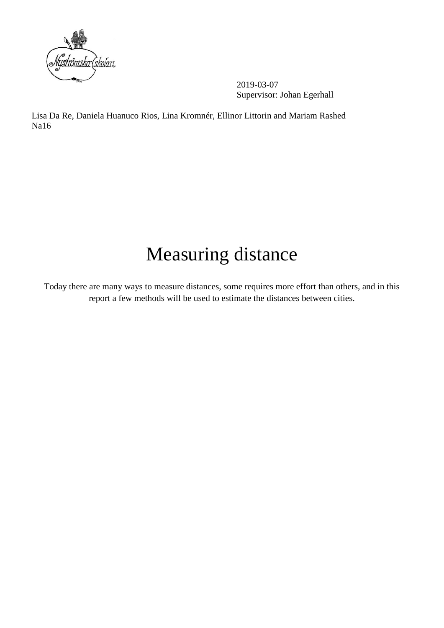

2019-03-07 Supervisor: Johan Egerhall

Lisa Da Re, Daniela Huanuco Rios, Lina Kromnér, Ellinor Littorin and Mariam Rashed Na16

# Measuring distance

Today there are many ways to measure distances, some requires more effort than others, and in this report a few methods will be used to estimate the distances between cities.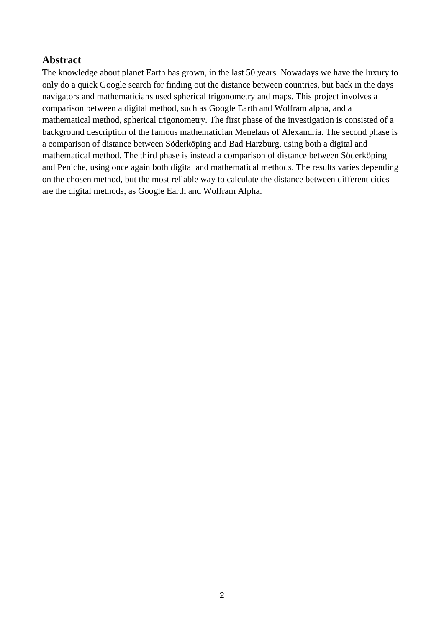## **Abstract**

The knowledge about planet Earth has grown, in the last 50 years. Nowadays we have the luxury to only do a quick Google search for finding out the distance between countries, but back in the days navigators and mathematicians used spherical trigonometry and maps. This project involves a comparison between a digital method, such as Google Earth and Wolfram alpha, and a mathematical method, spherical trigonometry. The first phase of the investigation is consisted of a background description of the famous mathematician Menelaus of Alexandria. The second phase is a comparison of distance between Söderköping and Bad Harzburg, using both a digital and mathematical method. The third phase is instead a comparison of distance between Söderköping and Peniche, using once again both digital and mathematical methods. The results varies depending on the chosen method, but the most reliable way to calculate the distance between different cities are the digital methods, as Google Earth and Wolfram Alpha.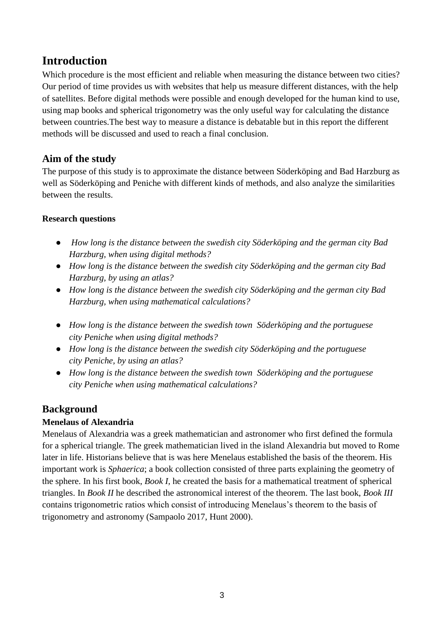# **Introduction**

Which procedure is the most efficient and reliable when measuring the distance between two cities? Our period of time provides us with websites that help us measure different distances, with the help of satellites. Before digital methods were possible and enough developed for the human kind to use, using map books and spherical trigonometry was the only useful way for calculating the distance between countries.The best way to measure a distance is debatable but in this report the different methods will be discussed and used to reach a final conclusion.

# **Aim of the study**

The purpose of this study is to approximate the distance between Söderköping and Bad Harzburg as well as Söderköping and Peniche with different kinds of methods, and also analyze the similarities between the results.

## **Research questions**

- *How long is the distance between the swedish city Söderköping and the german city Bad Harzburg, when using digital methods?*
- *How long is the distance between the swedish city Söderköping and the german city Bad Harzburg, by using an atlas?*
- *How long is the distance between the swedish city Söderköping and the german city Bad Harzburg, when using mathematical calculations?*
- *How long is the distance between the swedish town Söderköping and the portuguese city Peniche when using digital methods?*
- *How long is the distance between the swedish city Söderköping and the portuguese city Peniche, by using an atlas?*
- *How long is the distance between the swedish town Söderköping and the portuguese city Peniche when using mathematical calculations?*

# **Background**

# **Menelaus of Alexandria**

Menelaus of Alexandria was a greek mathematician and astronomer who first defined the formula for a spherical triangle. The greek mathematician lived in the island Alexandria but moved to Rome later in life. Historians believe that is was here Menelaus established the basis of the theorem. His important work is *Sphaerica*; a book collection consisted of three parts explaining the geometry of the sphere. In his first book, *Book I,* he created the basis for a mathematical treatment of spherical triangles. In *Book II* he described the astronomical interest of the theorem. The last book, *Book III* contains trigonometric ratios which consist of introducing Menelaus's theorem to the basis of trigonometry and astronomy (Sampaolo 2017, Hunt 2000).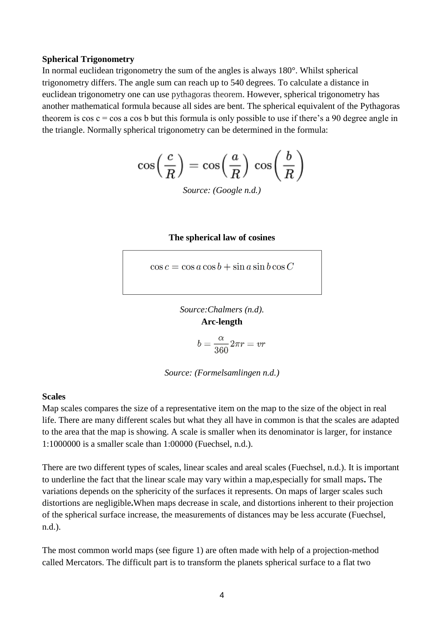#### **Spherical Trigonometry**

In normal euclidean trigonometry the sum of the angles is always 180°. Whilst spherical trigonometry differs. The angle sum can reach up to 540 degrees. To calculate a distance in euclidean trigonometry one can use pythagoras theorem. However, spherical trigonometry has another mathematical formula because all sides are bent. The spherical equivalent of the Pythagoras theorem is  $\cos c = \cos a \cos b$  but this formula is only possible to use if there's a 90 degree angle in the triangle. Normally spherical trigonometry can be determined in the formula:

$$
\cos\left(\frac{c}{R}\right) = \cos\left(\frac{a}{R}\right)\cos\left(\frac{b}{R}\right)
$$

*Source: (Google n.d.)*

#### **The spherical law of cosines**

$$
\cos c = \cos a \cos b + \sin a \sin b \cos C
$$

*Source:Chalmers (n.d).*  **Arc-length**

$$
b = \frac{\alpha}{360} 2\pi r = vr
$$

*Source: (Formelsamlingen n.d.)*

#### **Scales**

Map scales compares the size of a representative item on the map to the size of the object in real life. There are many different scales but what they all have in common is that the scales are adapted to the area that the map is showing. A scale is smaller when its denominator is larger, for instance 1:1000000 is a smaller scale than 1:00000 (Fuechsel, n.d.).

There are two different types of scales, linear scales and areal scales (Fuechsel, n.d.). It is important to underline the fact that the linear scale may vary within a map,especially for small maps**.** The variations depends on the sphericity of the surfaces it represents. On maps of larger scales such distortions are negligible**.**When maps decrease in scale, and distortions inherent to their projection of the spherical surface increase, the measurements of distances may be less accurate (Fuechsel, n.d.).

The most common world maps (see figure 1) are often made with help of a projection-method called Mercators. The difficult part is to transform the planets spherical surface to a flat two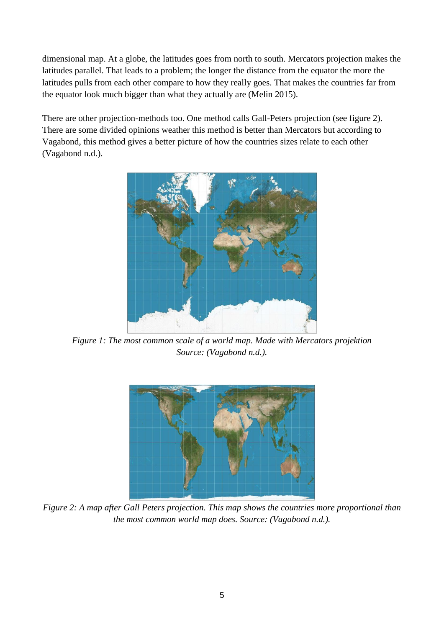dimensional map. At a globe, the latitudes goes from north to south. Mercators projection makes the latitudes parallel. That leads to a problem; the longer the distance from the equator the more the latitudes pulls from each other compare to how they really goes. That makes the countries far from the equator look much bigger than what they actually are (Melin 2015).

There are other projection-methods too. One method calls Gall-Peters projection (see figure 2). There are some divided opinions weather this method is better than Mercators but according to Vagabond, this method gives a better picture of how the countries sizes relate to each other (Vagabond n.d.).



*Figure 1: The most common scale of a world map. Made with Mercators projektion Source: (Vagabond n.d.).* 



*Figure 2: A map after Gall Peters projection. This map shows the countries more proportional than the most common world map does. Source: (Vagabond n.d.).*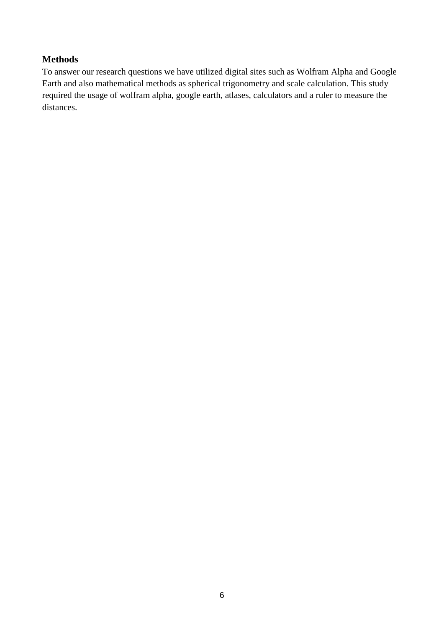## **Methods**

To answer our research questions we have utilized digital sites such as Wolfram Alpha and Google Earth and also mathematical methods as spherical trigonometry and scale calculation. This study required the usage of wolfram alpha, google earth, atlases, calculators and a ruler to measure the distances.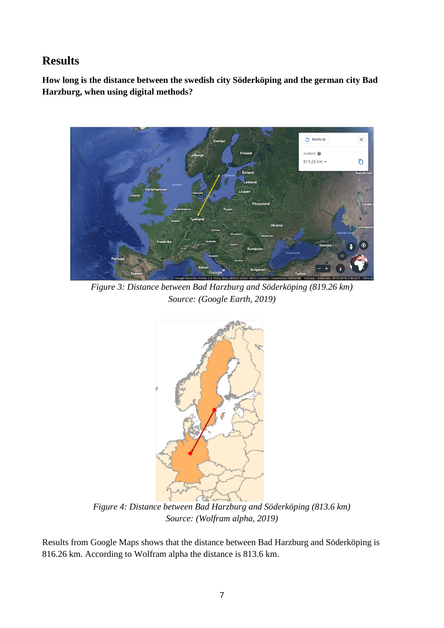# **Results**

**How long is the distance between the swedish city Söderköping and the german city Bad Harzburg, when using digital methods?**



*Figure 3: Distance between Bad Harzburg and Söderköping (819.26 km) Source: (Google Earth, 2019)* 



*Figure 4: Distance between Bad Harzburg and Söderköping (813.6 km) Source: (Wolfram alpha, 2019)*

Results from Google Maps shows that the distance between Bad Harzburg and Söderköping is 816.26 km. According to Wolfram alpha the distance is 813.6 km.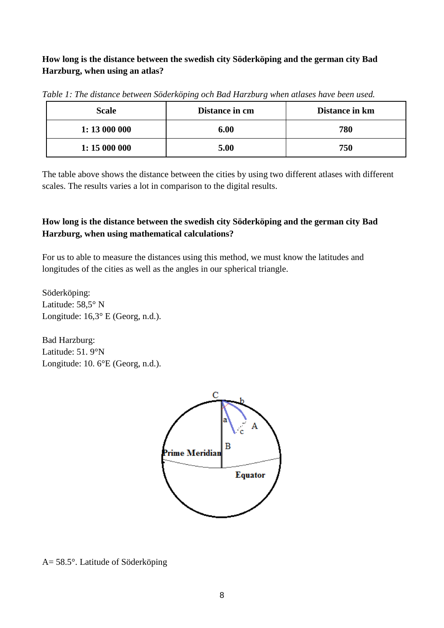**How long is the distance between the swedish city Söderköping and the german city Bad Harzburg, when using an atlas?**

*Table 1: The distance between Söderköping och Bad Harzburg when atlases have been used.*

| <b>Scale</b> | Distance in cm | Distance in km |
|--------------|----------------|----------------|
| 1:13 000 000 | 6.00           | 780            |
| 1:15 000 000 | 5.00           | 750            |

The table above shows the distance between the cities by using two different atlases with different scales. The results varies a lot in comparison to the digital results.

## **How long is the distance between the swedish city Söderköping and the german city Bad Harzburg, when using mathematical calculations?**

For us to able to measure the distances using this method, we must know the latitudes and longitudes of the cities as well as the angles in our spherical triangle.

Söderköping: Latitude: 58,5° N Longitude:  $16,3^{\circ}$  E (Georg, n.d.).

Bad Harzburg: Latitude: 51. 9°N Longitude: 10. 6°E (Georg, n.d.).



A= 58.5°. Latitude of Söderköping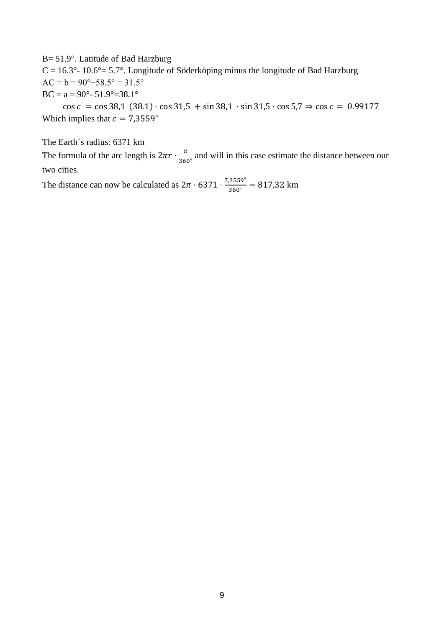B= 51.9°. Latitude of Bad Harzburg

 $C = 16.3^{\circ}$ - 10.6° = 5.7°. Longitude of Söderköping minus the longitude of Bad Harzburg  $AC = b = 90^{\circ} - 58.5^{\circ} = 31.5^{\circ}$  $BC = a = 90^{\circ} - 51.9^{\circ} = 38.1^{\circ}$ 

 $\cos c = \cos 38.1 (38.1) \cdot \cos 31.5 + \sin 38.1 \cdot \sin 31.5 \cdot \cos 5.7 \Rightarrow \cos c = 0.99177$ Which implies that  $c = 7,3559°$ 

The Earth´s radius: 6371 km

The formula of the arc length is  $2\pi r \cdot \frac{a}{\gamma \epsilon}$  $\frac{a}{360°}$  and will in this case estimate the distance between our two cities.

The distance can now be calculated as  $2\pi \cdot 6371 \cdot \frac{7,3559^{\circ}}{360^{\circ}} = 817,32$  km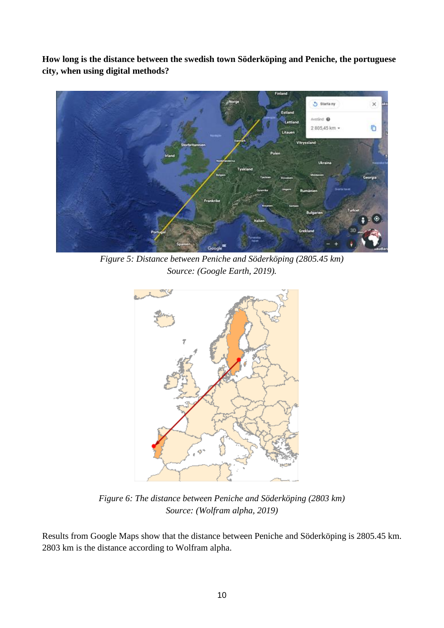**How long is the distance between the swedish town Söderköping and Peniche, the portuguese city, when using digital methods?**



*Figure 5: Distance between Peniche and Söderköping (2805.45 km) Source: (Google Earth, 2019).*



*Figure 6: The distance between Peniche and Söderköping (2803 km) Source: (Wolfram alpha, 2019)*

Results from Google Maps show that the distance between Peniche and Söderköping is 2805.45 km. 2803 km is the distance according to Wolfram alpha.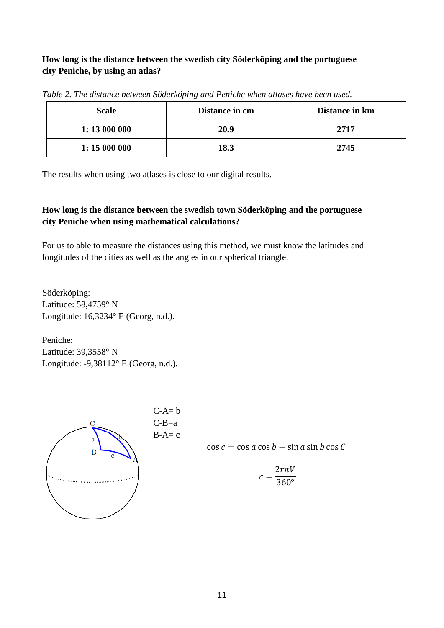## **How long is the distance between the swedish city Söderköping and the portuguese city Peniche, by using an atlas?**

**Scale Distance in cm Distance in km 1: 13 000 000 20.9 2717 1: 15 000 000 18.3 2745**

*Table 2. The distance between Söderköping and Peniche when atlases have been used.* 

The results when using two atlases is close to our digital results.

# **How long is the distance between the swedish town Söderköping and the portuguese city Peniche when using mathematical calculations?**

For us to able to measure the distances using this method, we must know the latitudes and longitudes of the cities as well as the angles in our spherical triangle.

Söderköping: Latitude: 58,4759° N Longitude: 16,3234° E (Georg, n.d.).

Peniche: Latitude: 39,3558° N Longitude: -9,38112° E (Georg, n.d.).



 $\cos c = \cos a \cos b + \sin a \sin b \cos C$ 

$$
c=\frac{2r\pi V}{360^{\circ}}
$$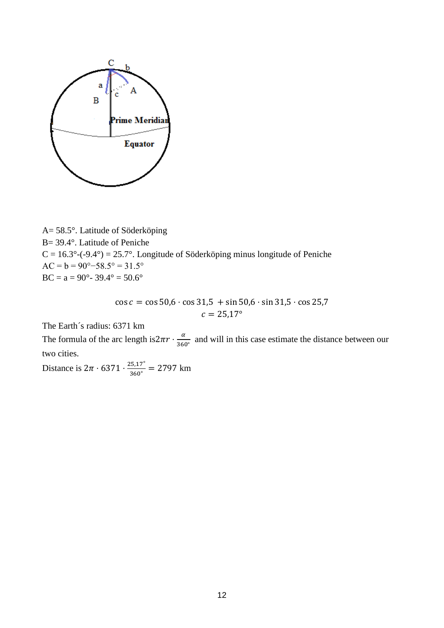

A= 58.5°. Latitude of Söderköping B= 39.4°. Latitude of Peniche  $C = 16.3^{\circ}$ -(-9.4°) = 25.7°. Longitude of Söderköping minus longitude of Peniche  $AC = b = 90^{\circ} - 58.5^{\circ} = 31.5^{\circ}$  $BC = a = 90^{\circ} - 39.4^{\circ} = 50.6^{\circ}$ 

> $\cos c = \cos 50.6 \cdot \cos 31.5 + \sin 50.6 \cdot \sin 31.5 \cdot \cos 25.7$  $c = 25,17^{\circ}$

The Earth´s radius: 6371 km

The formula of the arc length is $2\pi r \cdot \frac{a}{\gamma \epsilon}$  $\frac{a}{360°}$  and will in this case estimate the distance between our two cities.

Distance is  $2\pi \cdot 6371 \cdot \frac{25,17^{\circ}}{360^{\circ}} = 2797 \text{ km}$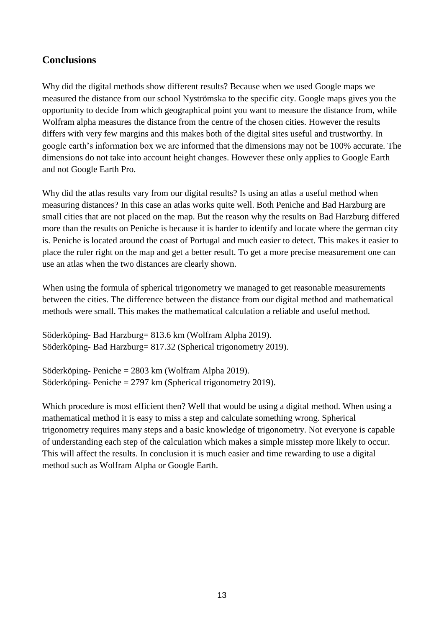# **Conclusions**

Why did the digital methods show different results? Because when we used Google maps we measured the distance from our school Nyströmska to the specific city. Google maps gives you the opportunity to decide from which geographical point you want to measure the distance from, while Wolfram alpha measures the distance from the centre of the chosen cities. However the results differs with very few margins and this makes both of the digital sites useful and trustworthy. In google earth's information box we are informed that the dimensions may not be 100% accurate. The dimensions do not take into account height changes. However these only applies to Google Earth and not Google Earth Pro.

Why did the atlas results vary from our digital results? Is using an atlas a useful method when measuring distances? In this case an atlas works quite well. Both Peniche and Bad Harzburg are small cities that are not placed on the map. But the reason why the results on Bad Harzburg differed more than the results on Peniche is because it is harder to identify and locate where the german city is. Peniche is located around the coast of Portugal and much easier to detect. This makes it easier to place the ruler right on the map and get a better result. To get a more precise measurement one can use an atlas when the two distances are clearly shown.

When using the formula of spherical trigonometry we managed to get reasonable measurements between the cities. The difference between the distance from our digital method and mathematical methods were small. This makes the mathematical calculation a reliable and useful method.

Söderköping- Bad Harzburg= 813.6 km (Wolfram Alpha 2019). Söderköping- Bad Harzburg= 817.32 (Spherical trigonometry 2019).

Söderköping- Peniche = 2803 km (Wolfram Alpha 2019). Söderköping- Peniche = 2797 km (Spherical trigonometry 2019).

Which procedure is most efficient then? Well that would be using a digital method. When using a mathematical method it is easy to miss a step and calculate something wrong. Spherical trigonometry requires many steps and a basic knowledge of trigonometry. Not everyone is capable of understanding each step of the calculation which makes a simple misstep more likely to occur. This will affect the results. In conclusion it is much easier and time rewarding to use a digital method such as Wolfram Alpha or Google Earth.